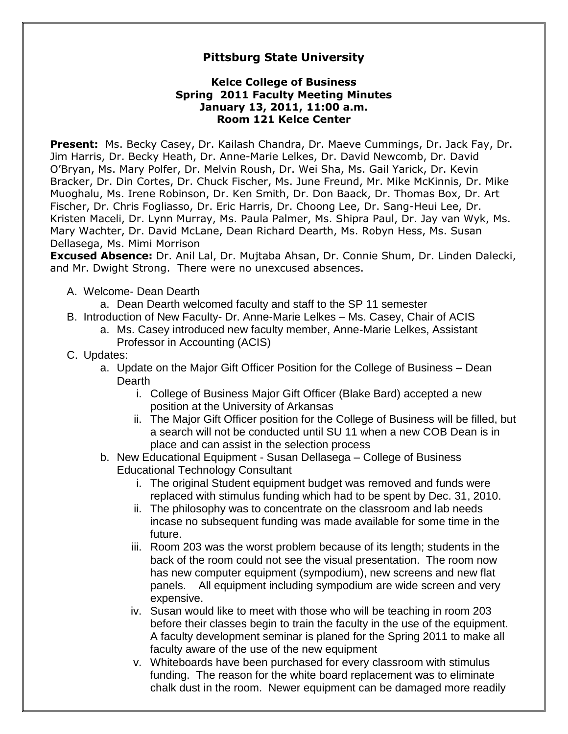## **Pittsburg State University**

## **Kelce College of Business Spring 2011 Faculty Meeting Minutes January 13, 2011, 11:00 a.m. Room 121 Kelce Center**

**Present:** Ms. Becky Casey, Dr. Kailash Chandra, Dr. Maeve Cummings, Dr. Jack Fay, Dr. Jim Harris, Dr. Becky Heath, Dr. Anne-Marie Lelkes, Dr. David Newcomb, Dr. David O'Bryan, Ms. Mary Polfer, Dr. Melvin Roush, Dr. Wei Sha, Ms. Gail Yarick, Dr. Kevin Bracker, Dr. Din Cortes, Dr. Chuck Fischer, Ms. June Freund, Mr. Mike McKinnis, Dr. Mike Muoghalu, Ms. Irene Robinson, Dr. Ken Smith, Dr. Don Baack, Dr. Thomas Box, Dr. Art Fischer, Dr. Chris Fogliasso, Dr. Eric Harris, Dr. Choong Lee, Dr. Sang-Heui Lee, Dr. Kristen Maceli, Dr. Lynn Murray, Ms. Paula Palmer, Ms. Shipra Paul, Dr. Jay van Wyk, Ms. Mary Wachter, Dr. David McLane, Dean Richard Dearth, Ms. Robyn Hess, Ms. Susan Dellasega, Ms. Mimi Morrison

**Excused Absence:** Dr. Anil Lal, Dr. Mujtaba Ahsan, Dr. Connie Shum, Dr. Linden Dalecki, and Mr. Dwight Strong. There were no unexcused absences.

- A. Welcome- Dean Dearth
	- a. Dean Dearth welcomed faculty and staff to the SP 11 semester
- B. Introduction of New Faculty- Dr. Anne-Marie Lelkes Ms. Casey, Chair of ACIS
	- a. Ms. Casey introduced new faculty member, Anne-Marie Lelkes, Assistant Professor in Accounting (ACIS)
- C. Updates:
	- a. Update on the Major Gift Officer Position for the College of Business Dean Dearth
		- i. College of Business Major Gift Officer (Blake Bard) accepted a new position at the University of Arkansas
		- ii. The Major Gift Officer position for the College of Business will be filled, but a search will not be conducted until SU 11 when a new COB Dean is in place and can assist in the selection process
	- b. New Educational Equipment Susan Dellasega College of Business Educational Technology Consultant
		- i. The original Student equipment budget was removed and funds were replaced with stimulus funding which had to be spent by Dec. 31, 2010.
		- ii. The philosophy was to concentrate on the classroom and lab needs incase no subsequent funding was made available for some time in the future.
		- iii. Room 203 was the worst problem because of its length; students in the back of the room could not see the visual presentation. The room now has new computer equipment (sympodium), new screens and new flat panels. All equipment including sympodium are wide screen and very expensive.
		- iv. Susan would like to meet with those who will be teaching in room 203 before their classes begin to train the faculty in the use of the equipment. A faculty development seminar is planed for the Spring 2011 to make all faculty aware of the use of the new equipment
		- v. Whiteboards have been purchased for every classroom with stimulus funding. The reason for the white board replacement was to eliminate chalk dust in the room. Newer equipment can be damaged more readily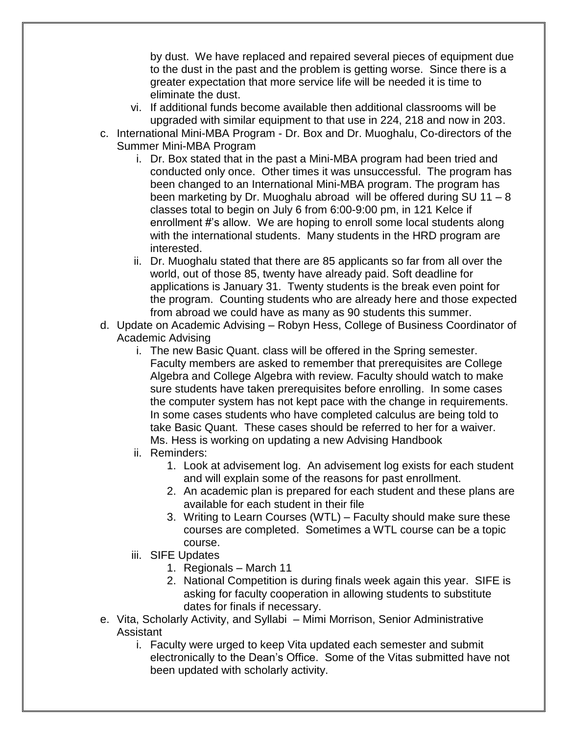by dust. We have replaced and repaired several pieces of equipment due to the dust in the past and the problem is getting worse. Since there is a greater expectation that more service life will be needed it is time to eliminate the dust.

- vi. If additional funds become available then additional classrooms will be upgraded with similar equipment to that use in 224, 218 and now in 203.
- c. International Mini-MBA Program Dr. Box and Dr. Muoghalu, Co-directors of the Summer Mini-MBA Program
	- i. Dr. Box stated that in the past a Mini-MBA program had been tried and conducted only once. Other times it was unsuccessful. The program has been changed to an International Mini-MBA program. The program has been marketing by Dr. Muoghalu abroad will be offered during SU 11 – 8 classes total to begin on July 6 from 6:00-9:00 pm, in 121 Kelce if enrollment #'s allow. We are hoping to enroll some local students along with the international students. Many students in the HRD program are interested.
	- ii. Dr. Muoghalu stated that there are 85 applicants so far from all over the world, out of those 85, twenty have already paid. Soft deadline for applications is January 31. Twenty students is the break even point for the program. Counting students who are already here and those expected from abroad we could have as many as 90 students this summer.
- d. Update on Academic Advising Robyn Hess, College of Business Coordinator of Academic Advising
	- i. The new Basic Quant. class will be offered in the Spring semester. Faculty members are asked to remember that prerequisites are College Algebra and College Algebra with review. Faculty should watch to make sure students have taken prerequisites before enrolling. In some cases the computer system has not kept pace with the change in requirements. In some cases students who have completed calculus are being told to take Basic Quant. These cases should be referred to her for a waiver. Ms. Hess is working on updating a new Advising Handbook
	- ii. Reminders:
		- 1. Look at advisement log. An advisement log exists for each student and will explain some of the reasons for past enrollment.
		- 2. An academic plan is prepared for each student and these plans are available for each student in their file
		- 3. Writing to Learn Courses (WTL) Faculty should make sure these courses are completed. Sometimes a WTL course can be a topic course.
	- iii. SIFE Updates
		- 1. Regionals March 11
		- 2. National Competition is during finals week again this year. SIFE is asking for faculty cooperation in allowing students to substitute dates for finals if necessary.
- e. Vita, Scholarly Activity, and Syllabi Mimi Morrison, Senior Administrative Assistant
	- i. Faculty were urged to keep Vita updated each semester and submit electronically to the Dean's Office. Some of the Vitas submitted have not been updated with scholarly activity.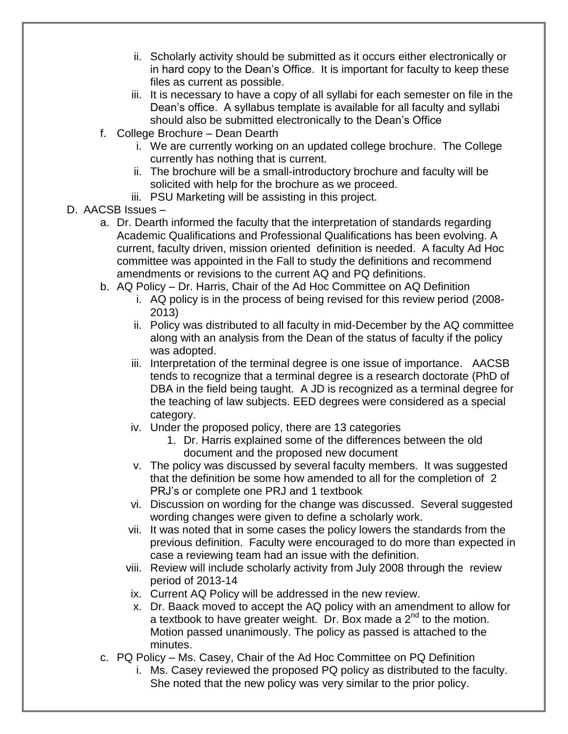- ii. Scholarly activity should be submitted as it occurs either electronically or in hard copy to the Dean's Office. It is important for faculty to keep these files as current as possible.
- iii. It is necessary to have a copy of all syllabi for each semester on file in the Dean's office. A syllabus template is available for all faculty and syllabi should also be submitted electronically to the Dean's Office
- f. College Brochure Dean Dearth
	- i. We are currently working on an updated college brochure. The College currently has nothing that is current.
	- ii. The brochure will be a small-introductory brochure and faculty will be solicited with help for the brochure as we proceed.
	- iii. PSU Marketing will be assisting in this project.
- D. AACSB Issues
	- a. Dr. Dearth informed the faculty that the interpretation of standards regarding Academic Qualifications and Professional Qualifications has been evolving. A current, faculty driven, mission oriented definition is needed. A faculty Ad Hoc committee was appointed in the Fall to study the definitions and recommend amendments or revisions to the current AQ and PQ definitions.
	- b. AQ Policy Dr. Harris, Chair of the Ad Hoc Committee on AQ Definition
		- i. AQ policy is in the process of being revised for this review period (2008- 2013)
		- ii. Policy was distributed to all faculty in mid-December by the AQ committee along with an analysis from the Dean of the status of faculty if the policy was adopted.
		- iii. Interpretation of the terminal degree is one issue of importance. AACSB tends to recognize that a terminal degree is a research doctorate (PhD of DBA in the field being taught. A JD is recognized as a terminal degree for the teaching of law subjects. EED degrees were considered as a special category.
		- iv. Under the proposed policy, there are 13 categories
			- 1. Dr. Harris explained some of the differences between the old document and the proposed new document
		- v. The policy was discussed by several faculty members. It was suggested that the definition be some how amended to all for the completion of 2 PRJ's or complete one PRJ and 1 textbook
		- vi. Discussion on wording for the change was discussed. Several suggested wording changes were given to define a scholarly work.
		- vii. It was noted that in some cases the policy lowers the standards from the previous definition. Faculty were encouraged to do more than expected in case a reviewing team had an issue with the definition.
		- viii. Review will include scholarly activity from July 2008 through the review period of 2013-14
			- ix. Current AQ Policy will be addressed in the new review.
		- x. Dr. Baack moved to accept the AQ policy with an amendment to allow for a textbook to have greater weight. Dr. Box made a  $2^{nd}$  to the motion. Motion passed unanimously. The policy as passed is attached to the minutes.
	- c. PQ Policy Ms. Casey, Chair of the Ad Hoc Committee on PQ Definition
		- i. Ms. Casey reviewed the proposed PQ policy as distributed to the faculty. She noted that the new policy was very similar to the prior policy.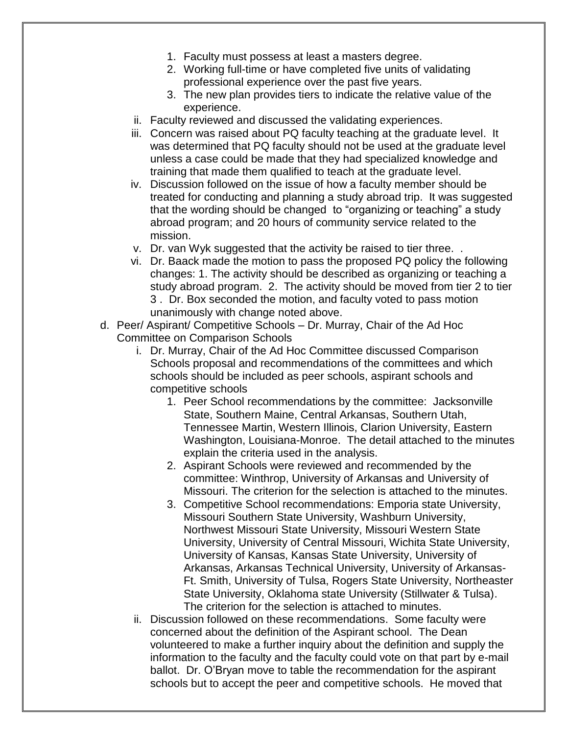- 1. Faculty must possess at least a masters degree.
- 2. Working full-time or have completed five units of validating professional experience over the past five years.
- 3. The new plan provides tiers to indicate the relative value of the experience.
- ii. Faculty reviewed and discussed the validating experiences.
- iii. Concern was raised about PQ faculty teaching at the graduate level. It was determined that PQ faculty should not be used at the graduate level unless a case could be made that they had specialized knowledge and training that made them qualified to teach at the graduate level.
- iv. Discussion followed on the issue of how a faculty member should be treated for conducting and planning a study abroad trip. It was suggested that the wording should be changed to "organizing or teaching" a study abroad program; and 20 hours of community service related to the mission.
- v. Dr. van Wyk suggested that the activity be raised to tier three. .
- vi. Dr. Baack made the motion to pass the proposed PQ policy the following changes: 1. The activity should be described as organizing or teaching a study abroad program. 2. The activity should be moved from tier 2 to tier 3 . Dr. Box seconded the motion, and faculty voted to pass motion unanimously with change noted above.
- d. Peer/ Aspirant/ Competitive Schools Dr. Murray, Chair of the Ad Hoc Committee on Comparison Schools
	- i. Dr. Murray, Chair of the Ad Hoc Committee discussed Comparison Schools proposal and recommendations of the committees and which schools should be included as peer schools, aspirant schools and competitive schools
		- 1. Peer School recommendations by the committee: Jacksonville State, Southern Maine, Central Arkansas, Southern Utah, Tennessee Martin, Western Illinois, Clarion University, Eastern Washington, Louisiana-Monroe. The detail attached to the minutes explain the criteria used in the analysis.
		- 2. Aspirant Schools were reviewed and recommended by the committee: Winthrop, University of Arkansas and University of Missouri. The criterion for the selection is attached to the minutes.
		- 3. Competitive School recommendations: Emporia state University, Missouri Southern State University, Washburn University, Northwest Missouri State University, Missouri Western State University, University of Central Missouri, Wichita State University, University of Kansas, Kansas State University, University of Arkansas, Arkansas Technical University, University of Arkansas-Ft. Smith, University of Tulsa, Rogers State University, Northeaster State University, Oklahoma state University (Stillwater & Tulsa). The criterion for the selection is attached to minutes.
	- ii. Discussion followed on these recommendations. Some faculty were concerned about the definition of the Aspirant school. The Dean volunteered to make a further inquiry about the definition and supply the information to the faculty and the faculty could vote on that part by e-mail ballot. Dr. O'Bryan move to table the recommendation for the aspirant schools but to accept the peer and competitive schools. He moved that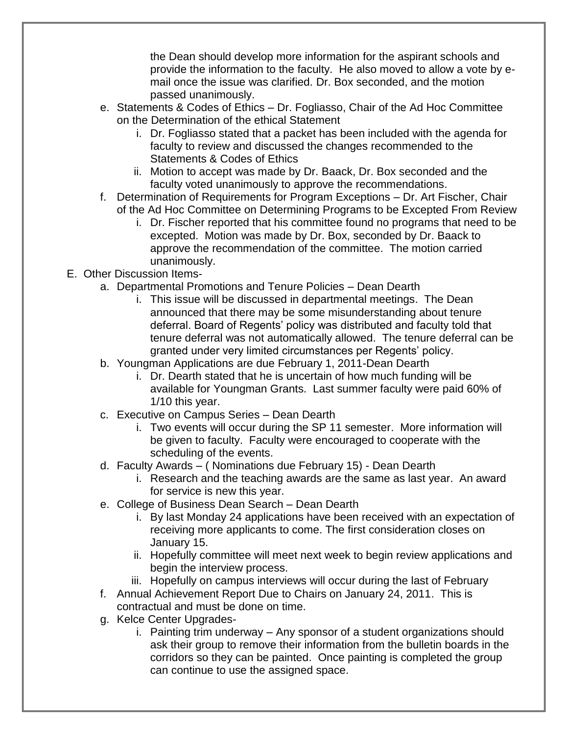the Dean should develop more information for the aspirant schools and provide the information to the faculty. He also moved to allow a vote by email once the issue was clarified. Dr. Box seconded, and the motion passed unanimously.

- e. Statements & Codes of Ethics Dr. Fogliasso, Chair of the Ad Hoc Committee on the Determination of the ethical Statement
	- i. Dr. Fogliasso stated that a packet has been included with the agenda for faculty to review and discussed the changes recommended to the Statements & Codes of Ethics
	- ii. Motion to accept was made by Dr. Baack, Dr. Box seconded and the faculty voted unanimously to approve the recommendations.
- f. Determination of Requirements for Program Exceptions Dr. Art Fischer, Chair of the Ad Hoc Committee on Determining Programs to be Excepted From Review
	- i. Dr. Fischer reported that his committee found no programs that need to be excepted. Motion was made by Dr. Box, seconded by Dr. Baack to approve the recommendation of the committee. The motion carried unanimously.
- E. Other Discussion Items
	- a. Departmental Promotions and Tenure Policies Dean Dearth
		- i. This issue will be discussed in departmental meetings. The Dean announced that there may be some misunderstanding about tenure deferral. Board of Regents' policy was distributed and faculty told that tenure deferral was not automatically allowed. The tenure deferral can be granted under very limited circumstances per Regents' policy.
		- b. Youngman Applications are due February 1, 2011-Dean Dearth
			- i. Dr. Dearth stated that he is uncertain of how much funding will be available for Youngman Grants. Last summer faculty were paid 60% of 1/10 this year.
		- c. Executive on Campus Series Dean Dearth
			- i. Two events will occur during the SP 11 semester. More information will be given to faculty. Faculty were encouraged to cooperate with the scheduling of the events.
		- d. Faculty Awards ( Nominations due February 15) Dean Dearth
			- i. Research and the teaching awards are the same as last year. An award for service is new this year.
		- e. College of Business Dean Search Dean Dearth
			- i. By last Monday 24 applications have been received with an expectation of receiving more applicants to come. The first consideration closes on January 15.
			- ii. Hopefully committee will meet next week to begin review applications and begin the interview process.
			- iii. Hopefully on campus interviews will occur during the last of February
		- f. Annual Achievement Report Due to Chairs on January 24, 2011. This is contractual and must be done on time.
		- g. Kelce Center Upgrades
			- i. Painting trim underway Any sponsor of a student organizations should ask their group to remove their information from the bulletin boards in the corridors so they can be painted. Once painting is completed the group can continue to use the assigned space.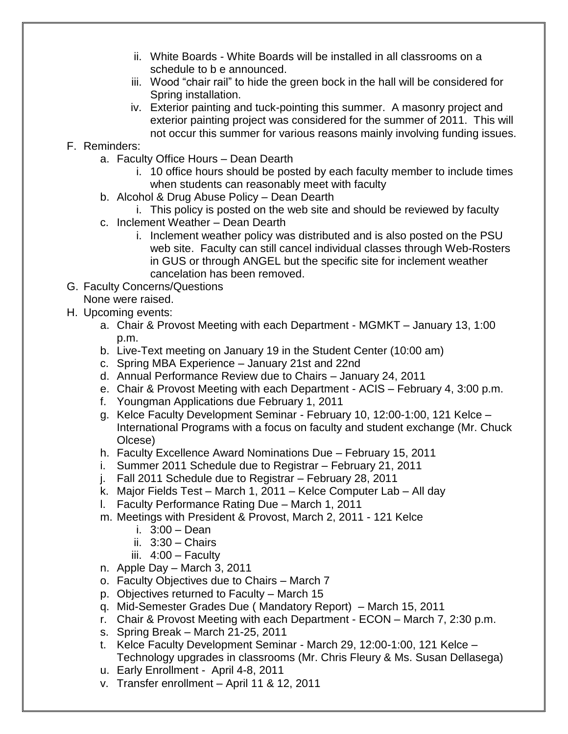- ii. White Boards White Boards will be installed in all classrooms on a schedule to b e announced.
- iii. Wood "chair rail" to hide the green bock in the hall will be considered for Spring installation.
- iv. Exterior painting and tuck-pointing this summer. A masonry project and exterior painting project was considered for the summer of 2011. This will not occur this summer for various reasons mainly involving funding issues.

## F. Reminders:

- a. Faculty Office Hours Dean Dearth
	- i. 10 office hours should be posted by each faculty member to include times when students can reasonably meet with faculty
- b. Alcohol & Drug Abuse Policy Dean Dearth

i. This policy is posted on the web site and should be reviewed by faculty

- c. Inclement Weather Dean Dearth
	- i. Inclement weather policy was distributed and is also posted on the PSU web site. Faculty can still cancel individual classes through Web-Rosters in GUS or through ANGEL but the specific site for inclement weather cancelation has been removed.
- G. Faculty Concerns/Questions None were raised.
- H. Upcoming events:
	- a. Chair & Provost Meeting with each Department MGMKT January 13, 1:00 p.m.
	- b. Live-Text meeting on January 19 in the Student Center (10:00 am)
	- c. Spring MBA Experience January 21st and 22nd
	- d. Annual Performance Review due to Chairs January 24, 2011
	- e. Chair & Provost Meeting with each Department ACIS February 4, 3:00 p.m.
	- f. Youngman Applications due February 1, 2011
	- g. Kelce Faculty Development Seminar February 10, 12:00-1:00, 121 Kelce International Programs with a focus on faculty and student exchange (Mr. Chuck Olcese)
	- h. Faculty Excellence Award Nominations Due February 15, 2011
	- i. Summer 2011 Schedule due to Registrar February 21, 2011
	- j. Fall 2011 Schedule due to Registrar February 28, 2011
	- k. Major Fields Test March 1, 2011 Kelce Computer Lab All day
	- l. Faculty Performance Rating Due March 1, 2011
	- m. Meetings with President & Provost, March 2, 2011 121 Kelce
		- i. 3:00 Dean
		- ii. 3:30 Chairs
		- iii. 4:00 Faculty
	- n. Apple Day March 3, 2011
	- o. Faculty Objectives due to Chairs March 7
	- p. Objectives returned to Faculty March 15
	- q. Mid-Semester Grades Due ( Mandatory Report) March 15, 2011
	- r. Chair & Provost Meeting with each Department ECON March 7, 2:30 p.m.
	- s. Spring Break March 21-25, 2011
	- t. Kelce Faculty Development Seminar March 29, 12:00-1:00, 121 Kelce Technology upgrades in classrooms (Mr. Chris Fleury & Ms. Susan Dellasega)
	- u. Early Enrollment April 4-8, 2011
	- v. Transfer enrollment April 11 & 12, 2011